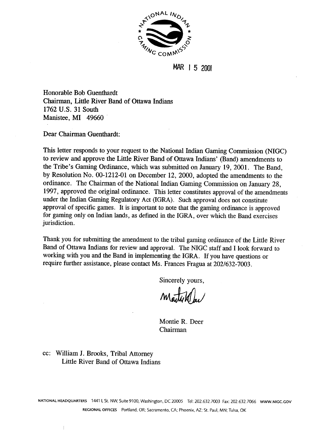

MAR | 5 2001

Honorable Bob Guenthardt Chairman, Little River Band of Ottawa Indians 1762 **U.S.** 31 South Manistee, MI 49660

Dear Chairman Guenthardt:

This letter responds to your request to the National Indian Gaming Commission (NIGC) to review and approve the Little River Band of Ottawa Indians' (Band) amendments to the Tribe's Gaming Ordinance, which was submitted on January 19, 2001. The Band, by Resolution No. 00-1212-01 on December 12, 2000, adopted the amendments to the ordinance. The Chairman of the National Indian Gaming Commission on January 28, 1997, approved the original ordinance. This letter constitutes approval of the amendments under the Indian Gaming Regulatory Act (IGRA). Such approval does not constitute approval of specific games. It is important to note that the gaming ordinance is approved for gaming only on Indian lands, as defined in the IGRA, over which the Band exercises jurisdiction.

Thank you for submitting the amendment to the tribal gaming ordinance of the Little River Band of Ottawa Indians for review and approval. The NIGC staff and I look forward to working with you and the Band in implementing the IGRA. If you have questions or require further assistance, please contact Ms. Frances Fragua at 202/632-7003.

Sincerely yours,

Montie R. Deer Chairman

cc: William J. Brooks, Tribal Attorney Little River Band of Ottawa Indians

**NATIONAL HEADQUARTERS 1441 L St. NW, Suite 9100, Washington, DC 20005 Tel: 202.632.7003 Fax: 202.632.7066 www.NIGC.GOV REGIONAL OFFICES** Portland. **OR;** Sacramento, CA; Phoenix, AZ; St. Paul. MN; Tulsa. OK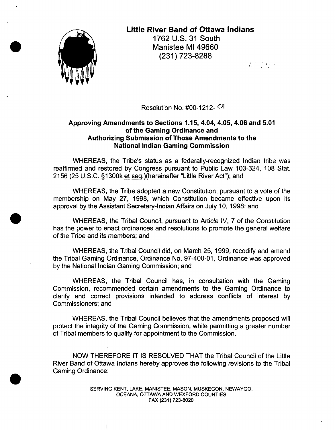

**Little River Band of Ottawa lndians**  1762 U.S. 31 South **Manistee** MI **49660**  (231) 723-8288

**.J** .! (. . *8* .)

Resolution No. #00-1212- OI

## **Approving Amendments to Sections 1.1 5,4.04,4.05,4.06 and 5.01 of the Gaming Ordinance and Authorizing Submission of Those Amendments to the National lndian Gaming Commission**

WHEREAS, the Tribe's status as a federally-recognized lndian tribe was reaffirmed and restored by Congress pursuant to Public Law 103-324, 108 Stat. 21 56 (25 U.S.C. S1300k et seq.)(hereinafter "Little River Act"); and

WHEREAS, the Tribe adopted a new Constitution, pursuant to a vote of the membership on May 27, 1998, which Constitution became effective upon its approval by the Assistant Secretary-Indian Affairs on July 10, 1998; and

WHEREAS, the Tribal Council, pursuant to Article IV, 7 of the Constitution has the power to enact ordinances and resolutions to promote the general welfare of the Tribe and its members; and

WHEREAS, the Tribal Council did, on March 25, 1999, recodify and amend the Tribal Gaming Ordinance, Ordinance No. 97-400-01, Ordinance was approved by the National lndian Gaming Commission; and

WHEREAS, the Tribal Council has, in consultation with the Gaming Commission, recommended certain amendments to the Gaming Ordinance to clarify and correct provisions intended to address conflicts of interest by Commissioners; and

WHEREAS, the Tribal Council believes that the amendments proposed will protect the integrity of the Gaming Commission, while permitting a greater number of Tribal members to qualify for appointment to the Commission.

NOW THEREFORE IT IS RESOLVED THAT the Tribal Council of the Little River Band of Ottawa Indians hereby approves the following revisions to the Tribal Gaming Ordinance:

> **SERVING KENT, LAKE, MANISTEE, MASON. MUSKEGON, NEWAYGO, OCEANA, OTTAWA AND WEXFORD COUNTIES FAX (231) 723-8020**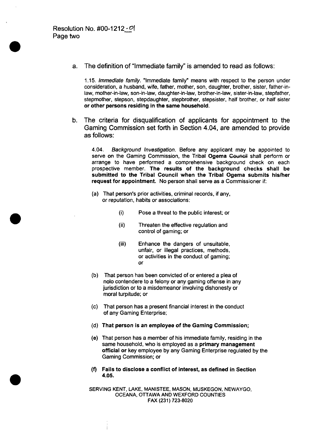a. The definition of "Immediate family" is amended to read as follows:

1.15. lmmediate family. "lmmediate family" means with respect to the person under consideration, a husband, wife, father, mother, son, daughter, brother, sister, father-inlaw, mother-in-law, son-in-law, daughter-in-law, brother-in-law, sister-in-law, stepfather. stepmother, stepson, stepdaughter, stepbrother, stepsister, half brother, or half sister or other persons residing in the same household.

b. The criteria for disqualification of applicants for appointment to the Gaming Commission set forth in Section **4.04,** are amended to provide as follows:

**4.04.** Background Investigation. Before any applicant may be appointed to serve on the Gaming Commission, the Tribal Ogema Council shall perform or arrange to have performed a comprehensive background check on each prospective member. The results of the background checks shall be submitted to the Tribal Council when the Tribal Ogema submits hislher request for appointment. No person shall serve as a Commissioner if:

- (a) That person's prior activities, criminal records, if any, or reputation, habits or associations:
	- (i) Pose a threat to the public interest; or
	- (ii) Threaten the effective regulation and control of gaming; or
	- (iii) Enhance the dangers of unsuitable, unfair, or illegal practices, methods, or activities in the conduct of gaming; or
- (b) That person has been convicted of or entered a plea of nolo contendere to a felony or any gaming offense in any jurisdiction or to a misdemeanor involving dishonesty or moral turpitude; or
- (c) That person has a present financial interest in the conduct of any Gaming Enterprise;
- **(d)** That person is an employee of the Gaming Commission;
- (e) That person has a member of his immediate family, residing in the same household, who is employed as a primary management official or key employee by any Gaming Enterprise regulated by the Gaming Commission; or
- (f) Fails to disclose a conflict of interest, as defined in Section 4.05.

SERVING KENT. LAKE. MANISTEE. MASON, MUSKEGON, NEWAYGO, OCEANA, OTTAWA AND WEXFORD COUNTIES FAX (231) 723-8020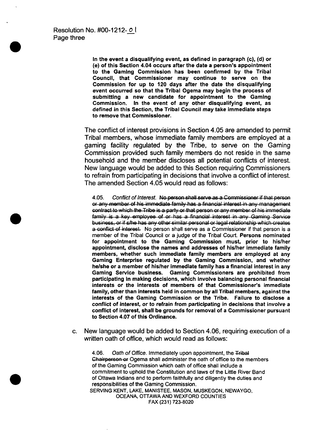Resolution No. #00-1212-01 Page three

> In the event a disqualifying event, as defined in paragraph (c), (d) or (e) of this Section **4.04** occurs after the date a person's appointment to the Gaming Commission has been confirmed by the Tribal Council, that Commissioner may continue to serve on the Commission for up to **120** days after the date the disqualifying event occurred so that the Tribal Ogema may begin the process of submitting a new candidate for appointment to the Gaming Commission. In the event of any other disqualifying event, as defined in this Section, the Tribal Council may take immediate steps to remove that Commissioner.

The conflict of interest provisions in Section 4.05 are amended to permit Tribal members, whose immediate family members are employed at a gaming facility regulated by the Tribe, to serve on the Gaming Commission provided such family members do not reside in the same household and the member discloses all potential conflicts of interest. New language would be added to this Section requiring Commissioners to refrain from participating in decisions that involve a conflict of interest. The amended Section 4.05 would read as follows:

b. #00-1212<u>-.  $\circ$  1</u><br>
h the west a disqualitying west, as defined in paragraph (c), (d) or<br>
h of this Section 4.94 cocurs after the date a person's appointment<br>
(e) of this Section 4.94 cocurs after the date a person's a conflict of interest. No person shall serve as a Commissioner if that person is a member of the Tribal Council or a judge of the Tribal Court. Persons nominated for appointment to the Gaming Commission must, prior to hislher appointment, disclose the names and addresses of hislher immediate family members, whether such immediate family members are employed at any Gaming Enterprise regulated by the Gaming Commission, and whether helshe or a member of hislher immediate family has a financial interest in any Gaming Service business. Gaming Commissioners are prohibited from participating in making decisions, which involve balancing personal financial interests or the interests of members of that Commissioner's immediate family, other than interests held in common by all Tribal members, against the interests of the Gaming Commission or the Tribe. Failure to disclose a conflict of interest, or to refrain from participating in decisions that involve a conflict of interest, shall be grounds for removal of a Commissioner pursuant to Section **4.07** of this Ordinance.

c. New language would be added to Section 4.06, requiring execution of a written oath of office, which would read as follows:

4.06. Oath of Office. Immediately upon appointment, the Tribal Chairperson or Ogema shall administer the oath of office to the members of the Gaming Commission which oath of office shall include a commitment to uphold the Constitution and laws of the Little River Band of Ottawa Indians and to perform faithfully and diligently the duties and responsibilities of the Gaming Commission. SERVING KENT, LAKE. MANISTEE, MASON, MUSKEGON. NEWAYGO. OCEANA, OTTAWA AND WEXFORD COUNTIES FAX (231) 723-8020